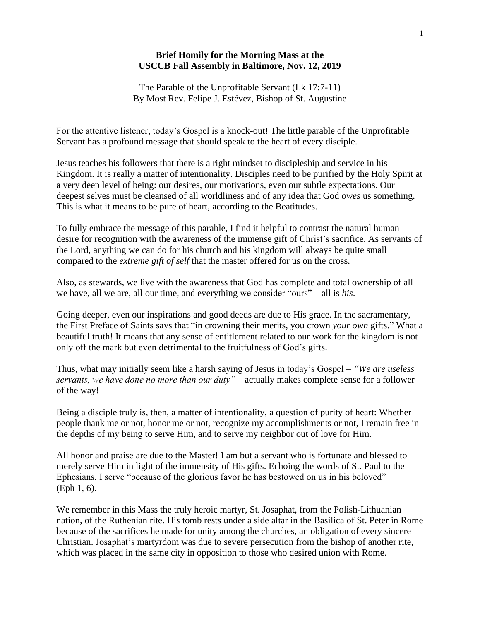## **Brief Homily for the Morning Mass at the USCCB Fall Assembly in Baltimore, Nov. 12, 2019**

The Parable of the Unprofitable Servant (Lk 17:7-11) By Most Rev. Felipe J. Estévez, Bishop of St. Augustine

For the attentive listener, today's Gospel is a knock-out! The little parable of the Unprofitable Servant has a profound message that should speak to the heart of every disciple.

Jesus teaches his followers that there is a right mindset to discipleship and service in his Kingdom. It is really a matter of intentionality. Disciples need to be purified by the Holy Spirit at a very deep level of being: our desires, our motivations, even our subtle expectations. Our deepest selves must be cleansed of all worldliness and of any idea that God *owes* us something. This is what it means to be pure of heart, according to the Beatitudes.

To fully embrace the message of this parable, I find it helpful to contrast the natural human desire for recognition with the awareness of the immense gift of Christ's sacrifice. As servants of the Lord, anything we can do for his church and his kingdom will always be quite small compared to the *extreme gift of self* that the master offered for us on the cross.

Also, as stewards, we live with the awareness that God has complete and total ownership of all we have, all we are, all our time, and everything we consider "ours" – all is *his*.

Going deeper, even our inspirations and good deeds are due to His grace. In the sacramentary, the First Preface of Saints says that "in crowning their merits, you crown *your own* gifts." What a beautiful truth! It means that any sense of entitlement related to our work for the kingdom is not only off the mark but even detrimental to the fruitfulness of God's gifts.

Thus, what may initially seem like a harsh saying of Jesus in today's Gospel – *"We are useless servants, we have done no more than our duty"* – actually makes complete sense for a follower of the way!

Being a disciple truly is, then, a matter of intentionality, a question of purity of heart: Whether people thank me or not, honor me or not, recognize my accomplishments or not, I remain free in the depths of my being to serve Him, and to serve my neighbor out of love for Him.

All honor and praise are due to the Master! I am but a servant who is fortunate and blessed to merely serve Him in light of the immensity of His gifts. Echoing the words of St. Paul to the Ephesians, I serve "because of the glorious favor he has bestowed on us in his beloved" (Eph 1, 6).

We remember in this Mass the truly heroic martyr, St. Josaphat, from the Polish-Lithuanian nation, of the Ruthenian rite. His tomb rests under a side altar in the Basilica of St. Peter in Rome because of the sacrifices he made for unity among the churches, an obligation of every sincere Christian. Josaphat's martyrdom was due to severe persecution from the bishop of another rite, which was placed in the same city in opposition to those who desired union with Rome.